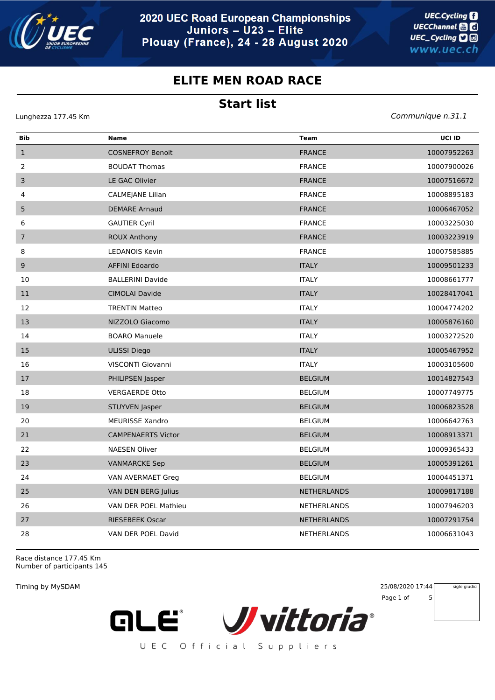

## **ELITE MEN ROAD RACE**

## **Start list**

Lunghezza 177.45 Km *Communique n.31.1*

| Bib            | <b>Name</b>               | <b>Team</b>        | UCI ID      |
|----------------|---------------------------|--------------------|-------------|
| $\mathbf{1}$   | <b>COSNEFROY Benoit</b>   | <b>FRANCE</b>      | 10007952263 |
| $\overline{2}$ | <b>BOUDAT Thomas</b>      | <b>FRANCE</b>      | 10007900026 |
| 3              | LE GAC Olivier            | <b>FRANCE</b>      | 10007516672 |
| 4              | CALMEJANE Lilian          | <b>FRANCE</b>      | 10008895183 |
| 5              | <b>DEMARE Arnaud</b>      | <b>FRANCE</b>      | 10006467052 |
| 6              | <b>GAUTIER Cyril</b>      | <b>FRANCE</b>      | 10003225030 |
| $\overline{7}$ | <b>ROUX Anthony</b>       | <b>FRANCE</b>      | 10003223919 |
| 8              | <b>LEDANOIS Kevin</b>     | <b>FRANCE</b>      | 10007585885 |
| 9              | <b>AFFINI Edoardo</b>     | <b>ITALY</b>       | 10009501233 |
| 10             | <b>BALLERINI Davide</b>   | <b>ITALY</b>       | 10008661777 |
| $11\,$         | <b>CIMOLAI Davide</b>     | <b>ITALY</b>       | 10028417041 |
| 12             | <b>TRENTIN Matteo</b>     | <b>ITALY</b>       | 10004774202 |
| 13             | NIZZOLO Giacomo           | <b>ITALY</b>       | 10005876160 |
| 14             | <b>BOARO Manuele</b>      | <b>ITALY</b>       | 10003272520 |
| 15             | <b>ULISSI Diego</b>       | <b>ITALY</b>       | 10005467952 |
| 16             | VISCONTI Giovanni         | <b>ITALY</b>       | 10003105600 |
| 17             | PHILIPSEN Jasper          | <b>BELGIUM</b>     | 10014827543 |
| 18             | <b>VERGAERDE Otto</b>     | <b>BELGIUM</b>     | 10007749775 |
| 19             | STUYVEN Jasper            | <b>BELGIUM</b>     | 10006823528 |
| 20             | <b>MEURISSE Xandro</b>    | <b>BELGIUM</b>     | 10006642763 |
| 21             | <b>CAMPENAERTS Victor</b> | <b>BELGIUM</b>     | 10008913371 |
| 22             | <b>NAESEN Oliver</b>      | <b>BELGIUM</b>     | 10009365433 |
| 23             | <b>VANMARCKE Sep</b>      | <b>BELGIUM</b>     | 10005391261 |
| 24             | VAN AVERMAET Greg         | <b>BELGIUM</b>     | 10004451371 |
| 25             | VAN DEN BERG Julius       | <b>NETHERLANDS</b> | 10009817188 |
| 26             | VAN DER POEL Mathieu      | <b>NETHERLANDS</b> | 10007946203 |
| 27             | <b>RIESEBEEK Oscar</b>    | <b>NETHERLANDS</b> | 10007291754 |
| 28             | VAN DER POEL David        | <b>NETHERLANDS</b> | 10006631043 |

Race distance 177.45 Km Number of participants 145

**ALE®** 

Timing by MySDAM 25/08/2020 17:44 Page 1 of 5 sigle giudici



UEC Official Suppliers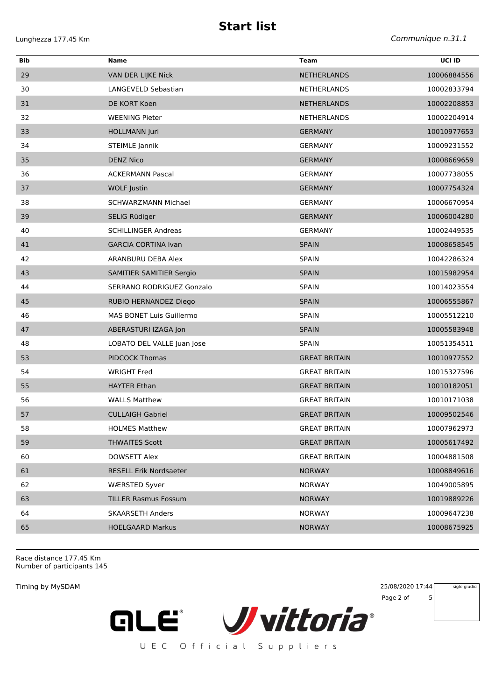**Start list**

Lunghezza 177.45 Km *Communique n.31.1*

| Bib | Name                          | <b>Team</b>          | UCI ID      |
|-----|-------------------------------|----------------------|-------------|
| 29  | VAN DER LIJKE Nick            | <b>NETHERLANDS</b>   | 10006884556 |
| 30  | LANGEVELD Sebastian           | <b>NETHERLANDS</b>   | 10002833794 |
| 31  | DE KORT Koen                  | <b>NETHERLANDS</b>   | 10002208853 |
| 32  | <b>WEENING Pieter</b>         | <b>NETHERLANDS</b>   | 10002204914 |
| 33  | <b>HOLLMANN Juri</b>          | <b>GERMANY</b>       | 10010977653 |
| 34  | <b>STEIMLE Jannik</b>         | <b>GERMANY</b>       | 10009231552 |
| 35  | <b>DENZ Nico</b>              | <b>GERMANY</b>       | 10008669659 |
| 36  | <b>ACKERMANN Pascal</b>       | <b>GERMANY</b>       | 10007738055 |
| 37  | <b>WOLF Justin</b>            | <b>GERMANY</b>       | 10007754324 |
| 38  | <b>SCHWARZMANN Michael</b>    | <b>GERMANY</b>       | 10006670954 |
| 39  | SELIG Rüdiger                 | <b>GERMANY</b>       | 10006004280 |
| 40  | <b>SCHILLINGER Andreas</b>    | <b>GERMANY</b>       | 10002449535 |
| 41  | <b>GARCIA CORTINA Ivan</b>    | <b>SPAIN</b>         | 10008658545 |
| 42  | ARANBURU DEBA Alex            | <b>SPAIN</b>         | 10042286324 |
| 43  | SAMITIER SAMITIER Sergio      | <b>SPAIN</b>         | 10015982954 |
| 44  | SERRANO RODRIGUEZ Gonzalo     | <b>SPAIN</b>         | 10014023554 |
| 45  | RUBIO HERNANDEZ Diego         | <b>SPAIN</b>         | 10006555867 |
| 46  | MAS BONET Luis Guillermo      | <b>SPAIN</b>         | 10005512210 |
| 47  | ABERASTURI IZAGA Jon          | <b>SPAIN</b>         | 10005583948 |
| 48  | LOBATO DEL VALLE Juan Jose    | <b>SPAIN</b>         | 10051354511 |
| 53  | <b>PIDCOCK Thomas</b>         | <b>GREAT BRITAIN</b> | 10010977552 |
| 54  | <b>WRIGHT Fred</b>            | <b>GREAT BRITAIN</b> | 10015327596 |
| 55  | <b>HAYTER Ethan</b>           | <b>GREAT BRITAIN</b> | 10010182051 |
| 56  | <b>WALLS Matthew</b>          | <b>GREAT BRITAIN</b> | 10010171038 |
| 57  | <b>CULLAIGH Gabriel</b>       | <b>GREAT BRITAIN</b> | 10009502546 |
| 58  | <b>HOLMES Matthew</b>         | <b>GREAT BRITAIN</b> | 10007962973 |
| 59  | <b>THWAITES Scott</b>         | <b>GREAT BRITAIN</b> | 10005617492 |
| 60  | DOWSETT Alex                  | <b>GREAT BRITAIN</b> | 10004881508 |
| 61  | <b>RESELL Erik Nordsaeter</b> | <b>NORWAY</b>        | 10008849616 |
| 62  | <b>WÆRSTED Syver</b>          | <b>NORWAY</b>        | 10049005895 |
| 63  | <b>TILLER Rasmus Fossum</b>   | <b>NORWAY</b>        | 10019889226 |
| 64  | <b>SKAARSETH Anders</b>       | <b>NORWAY</b>        | 10009647238 |
| 65  | <b>HOELGAARD Markus</b>       | <b>NORWAY</b>        | 10008675925 |

Race distance 177.45 Km Number of participants 145

Timing by MySDAM 25/08/2020 17:44 Page 2 of 5 sigle giudici

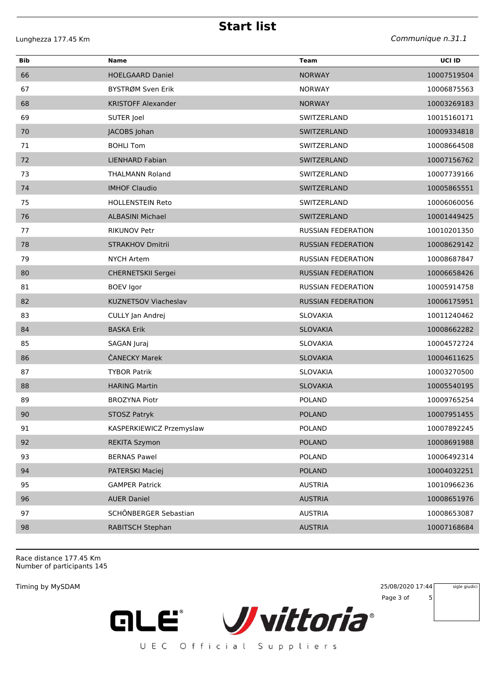**Start list**

| Bib | <b>Name</b>                 | Team                      | UCI ID      |
|-----|-----------------------------|---------------------------|-------------|
| 66  | <b>HOELGAARD Daniel</b>     | <b>NORWAY</b>             | 10007519504 |
| 67  | BYSTRØM Sven Erik           | <b>NORWAY</b>             | 10006875563 |
| 68  | <b>KRISTOFF Alexander</b>   | <b>NORWAY</b>             | 10003269183 |
| 69  | SUTER Joel                  | SWITZERLAND               | 10015160171 |
| 70  | JACOBS Johan                | SWITZERLAND               | 10009334818 |
| 71  | <b>BOHLI Tom</b>            | SWITZERLAND               | 10008664508 |
| 72  | <b>LIENHARD Fabian</b>      | SWITZERLAND               | 10007156762 |
| 73  | <b>THALMANN Roland</b>      | SWITZERLAND               | 10007739166 |
| 74  | <b>IMHOF Claudio</b>        | SWITZERLAND               | 10005865551 |
| 75  | <b>HOLLENSTEIN Reto</b>     | SWITZERLAND               | 10006060056 |
| 76  | <b>ALBASINI Michael</b>     | SWITZERLAND               | 10001449425 |
| 77  | <b>RIKUNOV Petr</b>         | <b>RUSSIAN FEDERATION</b> | 10010201350 |
| 78  | <b>STRAKHOV Dmitrii</b>     | <b>RUSSIAN FEDERATION</b> | 10008629142 |
| 79  | <b>NYCH Artem</b>           | <b>RUSSIAN FEDERATION</b> | 10008687847 |
| 80  | CHERNETSKII Sergei          | <b>RUSSIAN FEDERATION</b> | 10006658426 |
| 81  | <b>BOEV</b> Igor            | <b>RUSSIAN FEDERATION</b> | 10005914758 |
| 82  | <b>KUZNETSOV Viacheslav</b> | <b>RUSSIAN FEDERATION</b> | 10006175951 |
| 83  | CULLY Jan Andrej            | SLOVAKIA                  | 10011240462 |
| 84  | <b>BASKA Erik</b>           | <b>SLOVAKIA</b>           | 10008662282 |
| 85  | SAGAN Juraj                 | <b>SLOVAKIA</b>           | 10004572724 |
| 86  | ČANECKY Marek               | <b>SLOVAKIA</b>           | 10004611625 |
| 87  | <b>TYBOR Patrik</b>         | <b>SLOVAKIA</b>           | 10003270500 |
| 88  | <b>HARING Martin</b>        | <b>SLOVAKIA</b>           | 10005540195 |
| 89  | <b>BROZYNA Piotr</b>        | <b>POLAND</b>             | 10009765254 |
| 90  | <b>STOSZ Patryk</b>         | <b>POLAND</b>             | 10007951455 |
| 91  | KASPERKIEWICZ Przemyslaw    | <b>POLAND</b>             | 10007892245 |
| 92  | <b>REKITA Szymon</b>        | <b>POLAND</b>             | 10008691988 |
| 93  | <b>BERNAS Pawel</b>         | <b>POLAND</b>             | 10006492314 |
| 94  | PATERSKI Maciej             | <b>POLAND</b>             | 10004032251 |
| 95  | <b>GAMPER Patrick</b>       | <b>AUSTRIA</b>            | 10010966236 |
| 96  | <b>AUER Daniel</b>          | <b>AUSTRIA</b>            | 10008651976 |
| 97  | SCHÖNBERGER Sebastian       | <b>AUSTRIA</b>            | 10008653087 |
| 98  | RABITSCH Stephan            | <b>AUSTRIA</b>            | 10007168684 |

Race distance 177.45 Km Number of participants 145

Timing by MySDAM 25/08/2020 17:44 Page 3 of 5 sigle giudici

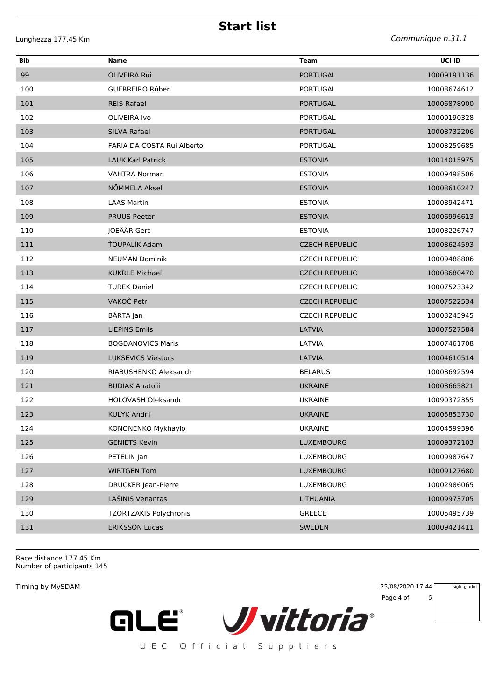**Start list**

Lunghezza 177.45 Km *Communique n.31.1*

| Bib | Name                          | <b>Team</b>           | UCI ID      |
|-----|-------------------------------|-----------------------|-------------|
| 99  | <b>OLIVEIRA Rui</b>           | <b>PORTUGAL</b>       | 10009191136 |
| 100 | <b>GUERREIRO Rúben</b>        | <b>PORTUGAL</b>       | 10008674612 |
| 101 | <b>REIS Rafael</b>            | <b>PORTUGAL</b>       | 10006878900 |
| 102 | <b>OLIVEIRA Ivo</b>           | <b>PORTUGAL</b>       | 10009190328 |
| 103 | SILVA Rafael                  | <b>PORTUGAL</b>       | 10008732206 |
| 104 | FARIA DA COSTA Rui Alberto    | PORTUGAL              | 10003259685 |
| 105 | <b>LAUK Karl Patrick</b>      | <b>ESTONIA</b>        | 10014015975 |
| 106 | <b>VAHTRA Norman</b>          | <b>ESTONIA</b>        | 10009498506 |
| 107 | NÕMMELA Aksel                 | <b>ESTONIA</b>        | 10008610247 |
| 108 | <b>LAAS Martin</b>            | <b>ESTONIA</b>        | 10008942471 |
| 109 | <b>PRUUS Peeter</b>           | <b>ESTONIA</b>        | 10006996613 |
| 110 | JOEÄÄR Gert                   | <b>ESTONIA</b>        | 10003226747 |
| 111 | ŤOUPALÍK Adam                 | <b>CZECH REPUBLIC</b> | 10008624593 |
| 112 | <b>NEUMAN Dominik</b>         | <b>CZECH REPUBLIC</b> | 10009488806 |
| 113 | <b>KUKRLE Michael</b>         | <b>CZECH REPUBLIC</b> | 10008680470 |
| 114 | <b>TUREK Daniel</b>           | <b>CZECH REPUBLIC</b> | 10007523342 |
| 115 | VAKOČ Petr                    | <b>CZECH REPUBLIC</b> | 10007522534 |
| 116 | BÁRTA Jan                     | <b>CZECH REPUBLIC</b> | 10003245945 |
| 117 | <b>LIEPINS Emils</b>          | LATVIA                | 10007527584 |
| 118 | <b>BOGDANOVICS Maris</b>      | LATVIA                | 10007461708 |
| 119 | <b>LUKSEVICS Viesturs</b>     | LATVIA                | 10004610514 |
| 120 | RIABUSHENKO Aleksandr         | <b>BELARUS</b>        | 10008692594 |
| 121 | <b>BUDIAK Anatolii</b>        | <b>UKRAINE</b>        | 10008665821 |
| 122 | <b>HOLOVASH Oleksandr</b>     | <b>UKRAINE</b>        | 10090372355 |
| 123 | <b>KULYK Andrii</b>           | <b>UKRAINE</b>        | 10005853730 |
| 124 | KONONENKO Mykhaylo            | <b>UKRAINE</b>        | 10004599396 |
| 125 | <b>GENIETS Kevin</b>          | LUXEMBOURG            | 10009372103 |
| 126 | PETELIN Jan                   | LUXEMBOURG            | 10009987647 |
| 127 | <b>WIRTGEN Tom</b>            | <b>LUXEMBOURG</b>     | 10009127680 |
| 128 | <b>DRUCKER Jean-Pierre</b>    | LUXEMBOURG            | 10002986065 |
| 129 | LAŠINIS Venantas              | <b>LITHUANIA</b>      | 10009973705 |
| 130 | <b>TZORTZAKIS Polychronis</b> | GREECE                | 10005495739 |
| 131 | <b>ERIKSSON Lucas</b>         | <b>SWEDEN</b>         | 10009421411 |
|     |                               |                       |             |

Race distance 177.45 Km Number of participants 145

Timing by MySDAM 25/08/2020 17:44 Page 4 of 5 sigle giudici